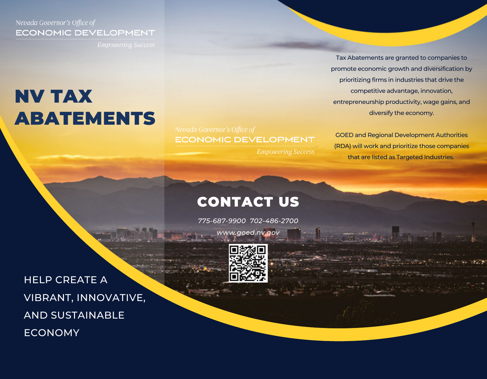## Nevada Governor's Office of **ECONOMIC DEVELOPMENT**

# NV TAX ABATEMENTS

**ECONOMIC DEVELOPMENT** 

**Empowering Success** 

Tax Abatements are granted to companies to promote economic growth and diversification by prioritizing firms in industries that drive the competitive advantage, innovation, entrepreneurship productivity, wage gains, and diversify the economy.

GOED and Regional Development Authorities (RDA) will work and prioritize those companies that are listed as Targeted Industries.

# CONTACT US

*775-687-9900 702-486-2700*

*www.goed.nv.gov*



HELP CREATE A VIBRANT, INNOVATIVE, AND SUSTAINABLE ECONOMY